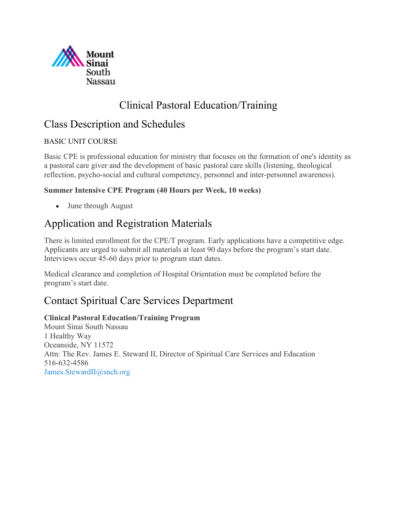

# Clinical Pastoral Education/Training

# Class Description and Schedules

## BASIC UNIT COURSE

Basic CPE is professional education for ministry that focuses on the formation of one's identity as a pastoral care giver and the development of basic pastoral care skills (listening, theological reflection, psycho-social and cultural competency, personnel and inter-personnel awareness).

## **Summer Intensive CPE Program (40 Hours per Week, 10 weeks)**

• June through August

# Application and Registration Materials

There is limited enrollment for the CPE/T program. Early applications have a competitive edge. Applicants are urged to submit all materials at least 90 days before the program's start date. Interviews occur 45-60 days prior to program start dates.

Medical clearance and completion of Hospital Orientation must be completed before the program's start date.

# Contact Spiritual Care Services Department

## **Clinical Pastoral Education/Training Program**

Mount Sinai South Nassau 1 Healthy Way Oceanside, NY 11572 Attn: The Rev. James E. Steward II, Director of Spiritual Care Services and Education 516-632-4586 [James.StewardII@snch.org](mailto:James.StewardII@snch.org)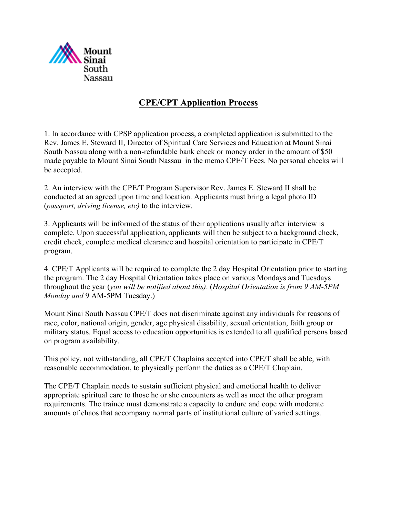

## **CPE/CPT Application Process**

1. In accordance with CPSP application process, a completed application is submitted to the Rev. James E. Steward II, Director of Spiritual Care Services and Education at Mount Sinai South Nassau along with a non-refundable bank check or money order in the amount of \$50 made payable to Mount Sinai South Nassau in the memo CPE/T Fees. No personal checks will be accepted.

2. An interview with the CPE/T Program Supervisor Rev. James E. Steward II shall be conducted at an agreed upon time and location. Applicants must bring a legal photo ID (*passport, driving license, etc)* to the interview.

3. Applicants will be informed of the status of their applications usually after interview is complete. Upon successful application, applicants will then be subject to a background check, credit check, complete medical clearance and hospital orientation to participate in CPE/T program.

4. CPE/T Applicants will be required to complete the 2 day Hospital Orientation prior to starting the program. The 2 day Hospital Orientation takes place on various Mondays and Tuesdays throughout the year (*you will be notified about this)*. (*Hospital Orientation is from 9 AM-5PM Monday and* 9 AM-5PM Tuesday.)

Mount Sinai South Nassau CPE/T does not discriminate against any individuals for reasons of race, color, national origin, gender, age physical disability, sexual orientation, faith group or military status. Equal access to education opportunities is extended to all qualified persons based on program availability.

This policy, not withstanding, all CPE/T Chaplains accepted into CPE/T shall be able, with reasonable accommodation, to physically perform the duties as a CPE/T Chaplain.

The CPE/T Chaplain needs to sustain sufficient physical and emotional health to deliver appropriate spiritual care to those he or she encounters as well as meet the other program requirements. The trainee must demonstrate a capacity to endure and cope with moderate amounts of chaos that accompany normal parts of institutional culture of varied settings.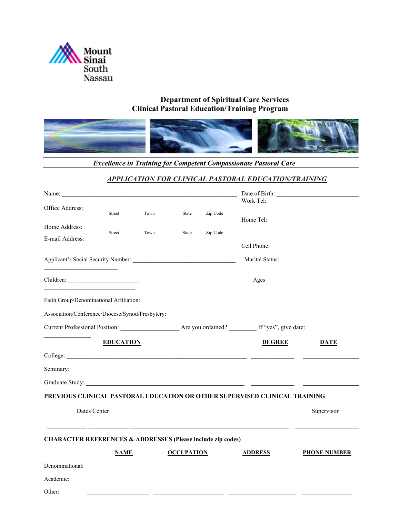

#### **Department of Spiritual Care Services Clinical Pastoral Education/Training Program**



*Excellence in Training for Competent Compassionate Pastoral Care*

#### *APPLICATION FOR CLINICAL PASTORAL EDUCATION/TRAINING*

| Office Address:                                                        |                  |      |                   |                 | Work Tel:                                                                                                                                                                                                                          |                     |
|------------------------------------------------------------------------|------------------|------|-------------------|-----------------|------------------------------------------------------------------------------------------------------------------------------------------------------------------------------------------------------------------------------------|---------------------|
|                                                                        | Street           | Town | <b>State</b>      | Zip Code        | Home Tel:                                                                                                                                                                                                                          |                     |
| Home Address:                                                          | Street           | Town | State             | Zip Code        |                                                                                                                                                                                                                                    |                     |
| E-mail Address:                                                        |                  |      |                   |                 |                                                                                                                                                                                                                                    |                     |
|                                                                        |                  |      |                   | Marital Status: |                                                                                                                                                                                                                                    |                     |
|                                                                        |                  |      |                   |                 | Ages                                                                                                                                                                                                                               |                     |
|                                                                        |                  |      |                   |                 |                                                                                                                                                                                                                                    |                     |
|                                                                        |                  |      |                   |                 |                                                                                                                                                                                                                                    |                     |
|                                                                        |                  |      |                   |                 | Current Professional Position: Are you ordained? If "yes", give date:                                                                                                                                                              |                     |
|                                                                        | <b>EDUCATION</b> |      |                   |                 | <b>DEGREE</b>                                                                                                                                                                                                                      | DATE                |
|                                                                        |                  |      |                   |                 |                                                                                                                                                                                                                                    |                     |
|                                                                        |                  |      |                   |                 | Seminary: <u>Commandatory:</u> Commandatory: Commandatory: Commandatory: Commandatory: Commandatory: Commandatory: Commandatory: Commandatory: Commandatory: Commandatory: Commandatory: Commandatory: Commandatory: Commandatory: |                     |
|                                                                        |                  |      |                   |                 |                                                                                                                                                                                                                                    |                     |
|                                                                        |                  |      |                   |                 | PREVIOUS CLINICAL PASTORAL EDUCATION OR OTHER SUPERVISED CLINICAL TRAINING                                                                                                                                                         |                     |
| Dates Center                                                           |                  |      |                   |                 |                                                                                                                                                                                                                                    | Supervisor          |
| <b>CHARACTER REFERENCES &amp; ADDRESSES (Please include zip codes)</b> |                  |      |                   |                 |                                                                                                                                                                                                                                    |                     |
|                                                                        | <b>NAME</b>      |      | <b>OCCUPATION</b> |                 | <b>ADDRESS</b>                                                                                                                                                                                                                     | <b>PHONE NUMBER</b> |
|                                                                        |                  |      |                   |                 |                                                                                                                                                                                                                                    |                     |
| Academic:                                                              |                  |      |                   |                 |                                                                                                                                                                                                                                    |                     |
| Other:                                                                 |                  |      |                   |                 |                                                                                                                                                                                                                                    |                     |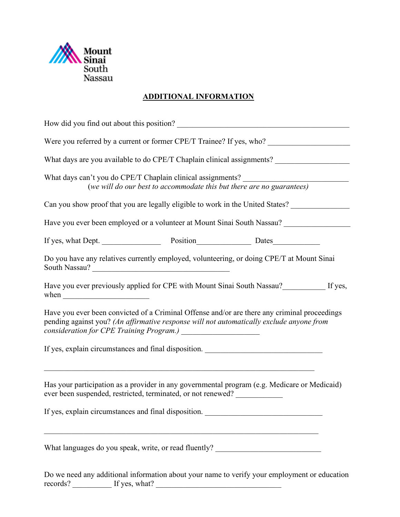

## **ADDITIONAL INFORMATION**

| How did you find out about this position?                                                                                                                                                                                                                                           |
|-------------------------------------------------------------------------------------------------------------------------------------------------------------------------------------------------------------------------------------------------------------------------------------|
|                                                                                                                                                                                                                                                                                     |
| What days are you available to do CPE/T Chaplain clinical assignments?                                                                                                                                                                                                              |
| What days can't you do CPE/T Chaplain clinical assignments?<br>(we will do our best to accommodate this but there are no guarantees)                                                                                                                                                |
| Can you show proof that you are legally eligible to work in the United States?                                                                                                                                                                                                      |
| Have you ever been employed or a volunteer at Mount Sinai South Nassau?                                                                                                                                                                                                             |
|                                                                                                                                                                                                                                                                                     |
| Do you have any relatives currently employed, volunteering, or doing CPE/T at Mount Sinai<br>South Nassau?                                                                                                                                                                          |
| Have you ever previously applied for CPE with Mount Sinai South Nassau?___________ If yes,<br>when $\frac{1}{\sqrt{1-\frac{1}{2}}\left(\frac{1}{2}-\frac{1}{2}\right)}$                                                                                                             |
| Have you ever been convicted of a Criminal Offense and/or are there any criminal proceedings<br>pending against you? (An affirmative response will not automatically exclude anyone from<br>consideration for CPE Training Program.) ______________________                         |
| If yes, explain circumstances and final disposition.                                                                                                                                                                                                                                |
| <u> 1989 - 1989 - 1989 - 1989 - 1989 - 1989 - 1989 - 1989 - 1989 - 1989 - 1989 - 1989 - 1989 - 1989 - 1989 - 19</u><br>Has your participation as a provider in any governmental program (e.g. Medicare or Medicaid)<br>ever been suspended, restricted, terminated, or not renewed? |
| If yes, explain circumstances and final disposition.                                                                                                                                                                                                                                |
| What languages do you speak, write, or read fluently? __________________________                                                                                                                                                                                                    |

Do we need any additional information about your name to verify your employment or education records? The state of  $\Gamma$  is given by the state of  $\Gamma$  is given by the state of  $\Gamma$  is given by the state of  $\Gamma$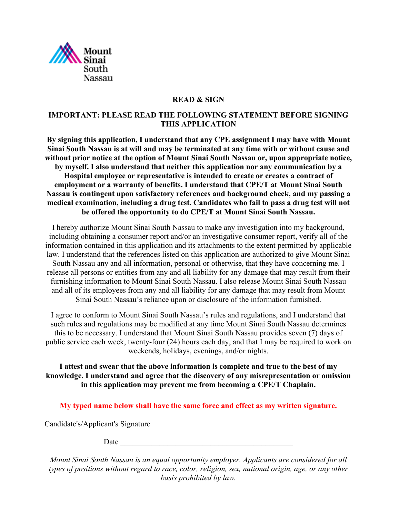

#### **READ & SIGN**

#### **IMPORTANT: PLEASE READ THE FOLLOWING STATEMENT BEFORE SIGNING THIS APPLICATION**

**By signing this application, I understand that any CPE assignment I may have with Mount Sinai South Nassau is at will and may be terminated at any time with or without cause and without prior notice at the option of Mount Sinai South Nassau or, upon appropriate notice, by myself. I also understand that neither this application nor any communication by a Hospital employee or representative is intended to create or creates a contract of employment or a warranty of benefits. I understand that CPE/T at Mount Sinai South Nassau is contingent upon satisfactory references and background check, and my passing a medical examination, including a drug test. Candidates who fail to pass a drug test will not be offered the opportunity to do CPE/T at Mount Sinai South Nassau.**

I hereby authorize Mount Sinai South Nassau to make any investigation into my background, including obtaining a consumer report and/or an investigative consumer report, verify all of the information contained in this application and its attachments to the extent permitted by applicable law. I understand that the references listed on this application are authorized to give Mount Sinai South Nassau any and all information, personal or otherwise, that they have concerning me. I release all persons or entities from any and all liability for any damage that may result from their furnishing information to Mount Sinai South Nassau. I also release Mount Sinai South Nassau and all of its employees from any and all liability for any damage that may result from Mount Sinai South Nassau's reliance upon or disclosure of the information furnished.

I agree to conform to Mount Sinai South Nassau's rules and regulations, and I understand that such rules and regulations may be modified at any time Mount Sinai South Nassau determines this to be necessary. I understand that Mount Sinai South Nassau provides seven (7) days of public service each week, twenty-four (24) hours each day, and that I may be required to work on weekends, holidays, evenings, and/or nights.

**I attest and swear that the above information is complete and true to the best of my knowledge. I understand and agree that the discovery of any misrepresentation or omission in this application may prevent me from becoming a CPE/T Chaplain.**

**My typed name below shall have the same force and effect as my written signature.**

Candidate's/Applicant's Signature \_\_\_\_\_\_\_\_\_\_\_\_\_\_\_\_\_\_\_\_\_\_\_\_\_\_\_\_\_\_\_\_\_\_\_\_\_\_\_\_\_\_\_\_\_\_\_\_\_\_\_

 $Date$   $\overline{\phantom{a}}$ 

*Mount Sinai South Nassau is an equal opportunity employer. Applicants are considered for all types of positions without regard to race, color, religion, sex, national origin, age, or any other basis prohibited by law.*